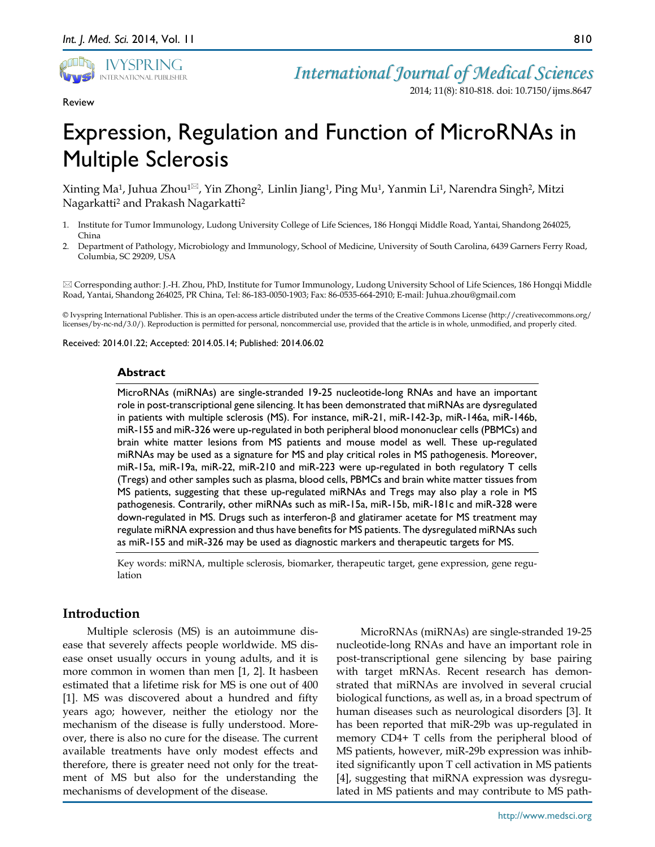

Review

*International Journal of Medical Sciences*

2014; 11(8): 810-818. doi: 10.7150/ijms.8647

# Expression, Regulation and Function of MicroRNAs in Multiple Sclerosis

Xinting Ma1, Juhua Zhou1, Yin Zhong2*,* Linlin Jiang1, Ping Mu1, Yanmin Li1, Narendra Singh2, Mitzi Nagarkatti2 and Prakash Nagarkatti2

- 1. Institute for Tumor Immunology, Ludong University College of Life Sciences, 186 Hongqi Middle Road, Yantai, Shandong 264025, China
- 2. Department of Pathology, Microbiology and Immunology, School of Medicine, University of South Carolina, 6439 Garners Ferry Road, Columbia, SC 29209, USA

 Corresponding author: J.-H. Zhou, PhD, Institute for Tumor Immunology, Ludong University School of Life Sciences, 186 Hongqi Middle Road, Yantai, Shandong 264025, PR China, Tel: 86-183-0050-1903; Fax: 86-0535-664-2910; E-mail: Juhua.zhou@gmail.com

© Ivyspring International Publisher. This is an open-access article distributed under the terms of the Creative Commons License (http://creativecommons.org/ licenses/by-nc-nd/3.0/). Reproduction is permitted for personal, noncommercial use, provided that the article is in whole, unmodified, and properly cited.

Received: 2014.01.22; Accepted: 2014.05.14; Published: 2014.06.02

#### **Abstract**

MicroRNAs (miRNAs) are single-stranded 19-25 nucleotide-long RNAs and have an important role in post-transcriptional gene silencing. It has been demonstrated that miRNAs are dysregulated in patients with multiple sclerosis (MS). For instance, miR-21, miR-142-3p, miR-146a, miR-146b, miR-155 and miR-326 were up-regulated in both peripheral blood mononuclear cells (PBMCs) and brain white matter lesions from MS patients and mouse model as well. These up-regulated miRNAs may be used as a signature for MS and play critical roles in MS pathogenesis. Moreover, miR-15a, miR-19a, miR-22, miR-210 and miR-223 were up-regulated in both regulatory T cells (Tregs) and other samples such as plasma, blood cells, PBMCs and brain white matter tissues from MS patients, suggesting that these up-regulated miRNAs and Tregs may also play a role in MS pathogenesis. Contrarily, other miRNAs such as miR-15a, miR-15b, miR-181c and miR-328 were down-regulated in MS. Drugs such as interferon-β and glatiramer acetate for MS treatment may regulate miRNA expression and thus have benefits for MS patients. The dysregulated miRNAs such as miR-155 and miR-326 may be used as diagnostic markers and therapeutic targets for MS.

Key words: miRNA, multiple sclerosis, biomarker, therapeutic target, gene expression, gene regulation

## **Introduction**

Multiple sclerosis (MS) is an autoimmune disease that severely affects people worldwide. MS disease onset usually occurs in young adults, and it is more common in women than men [1, 2]. It hasbeen estimated that a lifetime risk for MS is one out of 400 [1]. MS was discovered about a hundred and fifty years ago; however, neither the etiology nor the mechanism of the disease is fully understood. Moreover, there is also no cure for the disease. The current available treatments have only modest effects and therefore, there is greater need not only for the treatment of MS but also for the understanding the mechanisms of development of the disease.

MicroRNAs (miRNAs) are single-stranded 19-25 nucleotide-long RNAs and have an important role in post-transcriptional gene silencing by base pairing with target mRNAs. Recent research has demonstrated that miRNAs are involved in several crucial biological functions, as well as, in a broad spectrum of human diseases such as neurological disorders [3]. It has been reported that miR-29b was up-regulated in memory CD4+ T cells from the peripheral blood of MS patients, however, miR-29b expression was inhibited significantly upon T cell activation in MS patients [4], suggesting that miRNA expression was dysregulated in MS patients and may contribute to MS path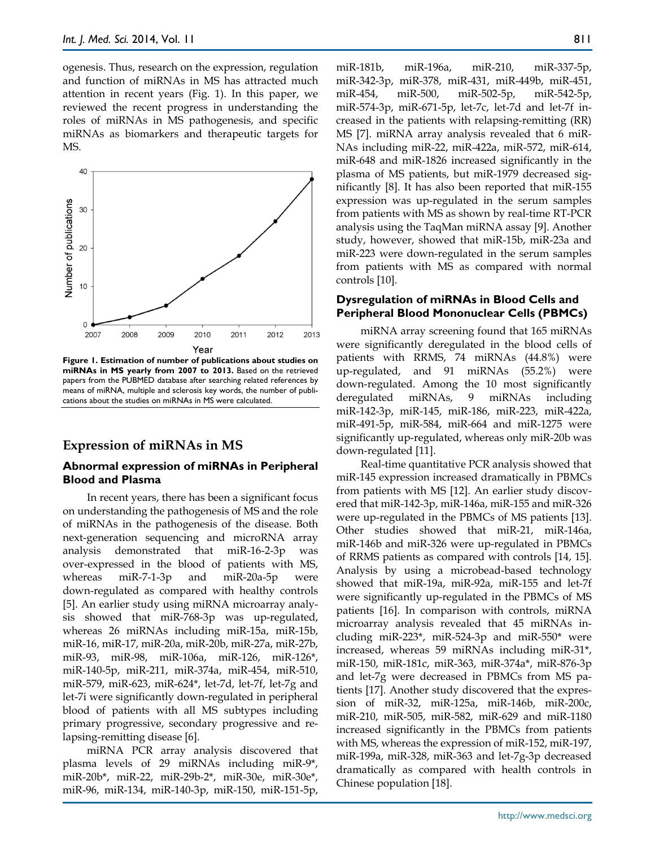ogenesis. Thus, research on the expression, regulation and function of miRNAs in MS has attracted much attention in recent years (Fig. 1). In this paper, we reviewed the recent progress in understanding the roles of miRNAs in MS pathogenesis, and specific miRNAs as biomarkers and therapeutic targets for MS.



**Figure 1. Estimation of number of publications about studies on miRNAs in MS yearly from 2007 to 2013.** Based on the retrieved papers from the PUBMED database after searching related references by means of miRNA, multiple and sclerosis key words, the number of publications about the studies on miRNAs in MS were calculated.

# **Expression of miRNAs in MS**

## **Abnormal expression of miRNAs in Peripheral Blood and Plasma**

In recent years, there has been a significant focus on understanding the pathogenesis of MS and the role of miRNAs in the pathogenesis of the disease. Both next-generation sequencing and microRNA array analysis demonstrated that miR-16-2-3p was over-expressed in the blood of patients with MS, whereas miR-7-1-3p and miR-20a-5p were down-regulated as compared with healthy controls [5]. An earlier study using miRNA microarray analysis showed that miR-768-3p was up-regulated, whereas 26 miRNAs including miR-15a, miR-15b, miR-16, miR-17, miR-20a, miR-20b, miR-27a, miR-27b, miR-93, miR-98, miR-106a, miR-126, miR-126\*, miR-140-5p, miR-211, miR-374a, miR-454, miR-510, miR-579, miR-623, miR-624\*, let-7d, let-7f, let-7g and let-7i were significantly down-regulated in peripheral blood of patients with all MS subtypes including primary progressive, secondary progressive and relapsing-remitting disease [6].

miRNA PCR array analysis discovered that plasma levels of 29 miRNAs including miR-9\*, miR-20b\*, miR-22, miR-29b-2\*, miR-30e, miR-30e\*, miR-96, miR-134, miR-140-3p, miR-150, miR-151-5p,

miR-181b, miR-196a, miR-210, miR-337-5p, miR-342-3p, miR-378, miR-431, miR-449b, miR-451, miR-454, miR-500, miR-502-5p, miR-542-5p, miR-574-3p, miR-671-5p, let-7c, let-7d and let-7f increased in the patients with relapsing-remitting (RR) MS [7]. miRNA array analysis revealed that 6 miR-NAs including miR-22, miR-422a, miR-572, miR-614, miR-648 and miR-1826 increased significantly in the plasma of MS patients, but miR-1979 decreased significantly [8]. It has also been reported that miR-155 expression was up-regulated in the serum samples from patients with MS as shown by real-time RT-PCR analysis using the TaqMan miRNA assay [9]. Another study, however, showed that miR-15b, miR-23a and miR-223 were down-regulated in the serum samples from patients with MS as compared with normal controls [10].

#### **Dysregulation of miRNAs in Blood Cells and Peripheral Blood Mononuclear Cells (PBMCs)**

miRNA array screening found that 165 miRNAs were significantly deregulated in the blood cells of patients with RRMS, 74 miRNAs (44.8%) were up-regulated, and 91 miRNAs (55.2%) were down-regulated. Among the 10 most significantly deregulated miRNAs, 9 miRNAs including miR-142-3p, miR-145, miR-186, miR-223, miR-422a, miR-491-5p, miR-584, miR-664 and miR-1275 were significantly up-regulated, whereas only miR-20b was down-regulated [11].

Real-time quantitative PCR analysis showed that miR-145 expression increased dramatically in PBMCs from patients with MS [12]. An earlier study discovered that miR-142-3p, miR-146a, miR-155 and miR-326 were up-regulated in the PBMCs of MS patients [13]. Other studies showed that miR-21, miR-146a, miR-146b and miR-326 were up-regulated in PBMCs of RRMS patients as compared with controls [14, 15]. Analysis by using a microbead-based technology showed that miR-19a, miR-92a, miR-155 and let-7f were significantly up-regulated in the PBMCs of MS patients [16]. In comparison with controls, miRNA microarray analysis revealed that 45 miRNAs including miR-223<sup>\*</sup>, miR-524-3p and miR-550<sup>\*</sup> were increased, whereas 59 miRNAs including miR-31\*, miR-150, miR-181c, miR-363, miR-374a\*, miR-876-3p and let-7g were decreased in PBMCs from MS patients [17]. Another study discovered that the expression of miR-32, miR-125a, miR-146b, miR-200c, miR-210, miR-505, miR-582, miR-629 and miR-1180 increased significantly in the PBMCs from patients with MS, whereas the expression of miR-152, miR-197, miR-199a, miR-328, miR-363 and let-7g-3p decreased dramatically as compared with health controls in Chinese population [18].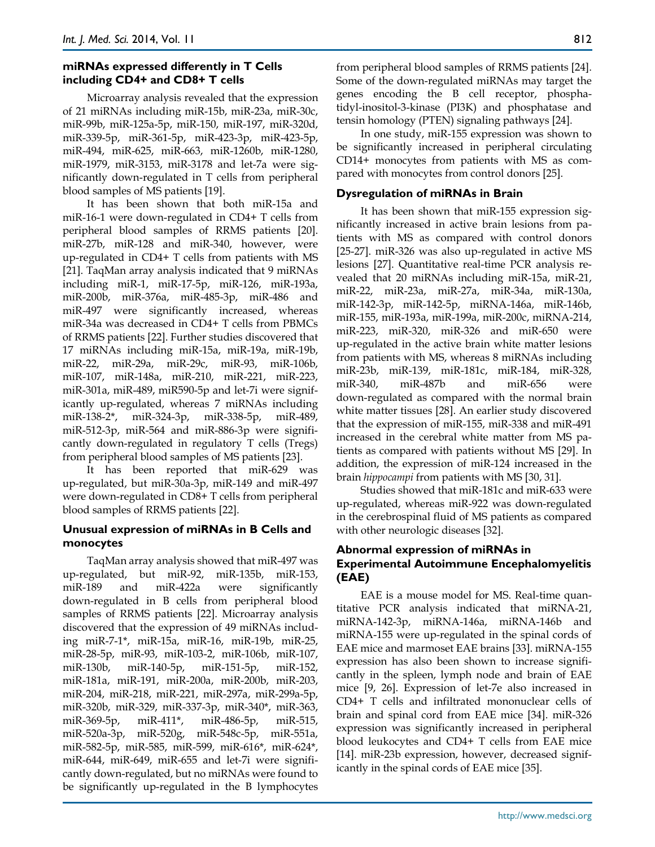## **miRNAs expressed differently in T Cells including CD4+ and CD8+ T cells**

Microarray analysis revealed that the expression of 21 miRNAs including miR-15b, miR-23a, miR-30c, miR-99b, miR-125a-5p, miR-150, miR-197, miR-320d, miR-339-5p, miR-361-5p, miR-423-3p, miR-423-5p, miR-494, miR-625, miR-663, miR-1260b, miR-1280, miR-1979, miR-3153, miR-3178 and let-7a were significantly down-regulated in T cells from peripheral blood samples of MS patients [19].

It has been shown that both miR-15a and miR-16-1 were down-regulated in CD4+ T cells from peripheral blood samples of RRMS patients [20]. miR-27b, miR-128 and miR-340, however, were up-regulated in CD4+ T cells from patients with MS [21]. TaqMan array analysis indicated that 9 miRNAs including miR-1, miR-17-5p, miR-126, miR-193a, miR-200b, miR-376a, miR-485-3p, miR-486 and miR-497 were significantly increased, whereas miR-34a was decreased in CD4+ T cells from PBMCs of RRMS patients [22]. Further studies discovered that 17 miRNAs including miR-15a, miR-19a, miR-19b, miR-22, miR-29a, miR-29c, miR-93, miR-106b, miR-107, miR-148a, miR-210, miR-221, miR-223, miR-301a, miR-489, miR590-5p and let-7i were significantly up-regulated, whereas 7 miRNAs including miR-138-2\*, miR-324-3p, miR-338-5p, miR-489, miR-512-3p, miR-564 and miR-886-3p were significantly down-regulated in regulatory T cells (Tregs) from peripheral blood samples of MS patients [23].

It has been reported that miR-629 was up-regulated, but miR-30a-3p, miR-149 and miR-497 were down-regulated in CD8+ T cells from peripheral blood samples of RRMS patients [22].

## **Unusual expression of miRNAs in B Cells and monocytes**

TaqMan array analysis showed that miR-497 was up-regulated, but miR-92, miR-135b, miR-153, miR-189 and miR-422a were significantly down-regulated in B cells from peripheral blood samples of RRMS patients [22]. Microarray analysis discovered that the expression of 49 miRNAs including miR-7-1\*, miR-15a, miR-16, miR-19b, miR-25, miR-28-5p, miR-93, miR-103-2, miR-106b, miR-107, miR-130b, miR-140-5p, miR-151-5p, miR-152, miR-181a, miR-191, miR-200a, miR-200b, miR-203, miR-204, miR-218, miR-221, miR-297a, miR-299a-5p, miR-320b, miR-329, miR-337-3p, miR-340\*, miR-363, miR-369-5p, miR-411\*, miR-486-5p, miR-515, miR-520a-3p, miR-520g, miR-548c-5p, miR-551a, miR-582-5p, miR-585, miR-599, miR-616\*, miR-624\*, miR-644, miR-649, miR-655 and let-7i were significantly down-regulated, but no miRNAs were found to be significantly up-regulated in the B lymphocytes

from peripheral blood samples of RRMS patients [24]. Some of the down-regulated miRNAs may target the genes encoding the B cell receptor, phosphatidyl-inositol-3-kinase (PI3K) and phosphatase and tensin homology (PTEN) signaling pathways [24].

In one study, miR-155 expression was shown to be significantly increased in peripheral circulating CD14+ monocytes from patients with MS as compared with monocytes from control donors [25].

## **Dysregulation of miRNAs in Brain**

It has been shown that miR-155 expression significantly increased in active brain lesions from patients with MS as compared with control donors [25-27]. miR-326 was also up-regulated in active MS lesions [27]. Quantitative real-time PCR analysis revealed that 20 miRNAs including miR-15a, miR-21, miR-22, miR-23a, miR-27a, miR-34a, miR-130a, miR-142-3p, miR-142-5p, miRNA-146a, miR-146b, miR-155, miR-193a, miR-199a, miR-200c, miRNA-214, miR-223, miR-320, miR-326 and miR-650 were up-regulated in the active brain white matter lesions from patients with MS, whereas 8 miRNAs including miR-23b, miR-139, miR-181c, miR-184, miR-328, miR-340, miR-487b and miR-656 were down-regulated as compared with the normal brain white matter tissues [28]. An earlier study discovered that the expression of miR-155, miR-338 and miR-491 increased in the cerebral white matter from MS patients as compared with patients without MS [29]. In addition, the expression of miR-124 increased in the brain *hippocampi* from patients with MS [30, 31].

Studies showed that miR-181c and miR-633 were up-regulated, whereas miR-922 was down-regulated in the cerebrospinal fluid of MS patients as compared with other neurologic diseases [32].

## **Abnormal expression of miRNAs in Experimental Autoimmune Encephalomyelitis (EAE)**

EAE is a mouse model for MS. Real-time quantitative PCR analysis indicated that miRNA-21, miRNA-142-3p, miRNA-146a, miRNA-146b and miRNA-155 were up-regulated in the spinal cords of EAE mice and marmoset EAE brains [33]. miRNA-155 expression has also been shown to increase significantly in the spleen, lymph node and brain of EAE mice [9, 26]. Expression of let-7e also increased in CD4+ T cells and infiltrated mononuclear cells of brain and spinal cord from EAE mice [34]. miR-326 expression was significantly increased in peripheral blood leukocytes and CD4+ T cells from EAE mice [14]. miR-23b expression, however, decreased significantly in the spinal cords of EAE mice [35].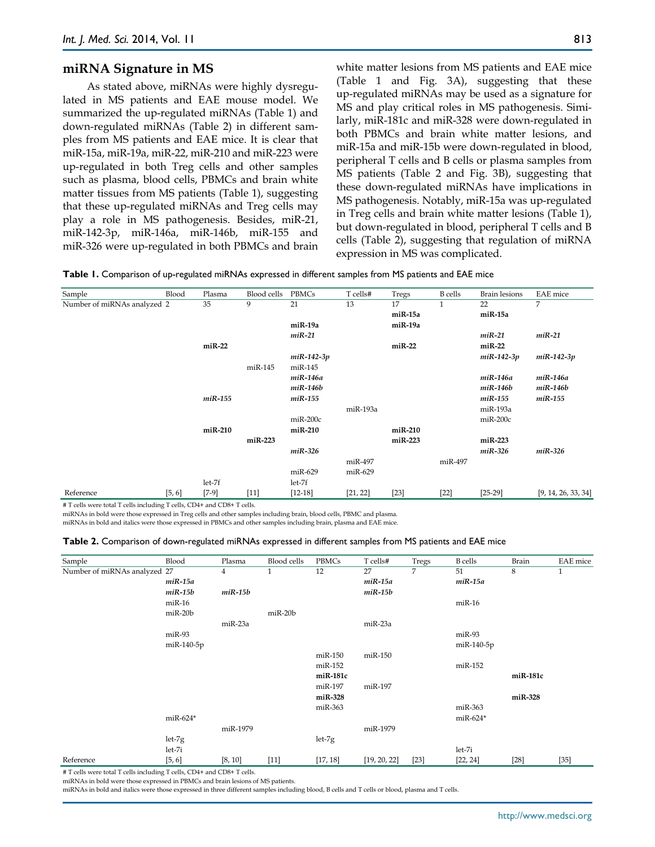#### **miRNA Signature in MS**

As stated above, miRNAs were highly dysregulated in MS patients and EAE mouse model. We summarized the up-regulated miRNAs (Table 1) and down-regulated miRNAs (Table 2) in different samples from MS patients and EAE mice. It is clear that miR-15a, miR-19a, miR-22, miR-210 and miR-223 were up-regulated in both Treg cells and other samples such as plasma, blood cells, PBMCs and brain white matter tissues from MS patients (Table 1), suggesting that these up-regulated miRNAs and Treg cells may play a role in MS pathogenesis. Besides, miR-21, miR-142-3p, miR-146a, miR-146b, miR-155 and miR-326 were up-regulated in both PBMCs and brain

white matter lesions from MS patients and EAE mice (Table 1 and Fig. 3A), suggesting that these up-regulated miRNAs may be used as a signature for MS and play critical roles in MS pathogenesis. Similarly, miR-181c and miR-328 were down-regulated in both PBMCs and brain white matter lesions, and miR-15a and miR-15b were down-regulated in blood, peripheral T cells and B cells or plasma samples from MS patients (Table 2 and Fig. 3B), suggesting that these down-regulated miRNAs have implications in MS pathogenesis. Notably, miR-15a was up-regulated in Treg cells and brain white matter lesions (Table 1), but down-regulated in blood, peripheral T cells and B cells (Table 2), suggesting that regulation of miRNA expression in MS was complicated.

|  |  |  | Table 1. Comparison of up-regulated miRNAs expressed in different samples from MS patients and EAE mice |  |
|--|--|--|---------------------------------------------------------------------------------------------------------|--|
|--|--|--|---------------------------------------------------------------------------------------------------------|--|

| Sample                                                                        | Blood  | Plasma    | Blood cells | PBMCs        | T cells# | Tregs    | <b>B</b> cells | <b>Brain</b> lesions | <b>EAE</b> mice     |
|-------------------------------------------------------------------------------|--------|-----------|-------------|--------------|----------|----------|----------------|----------------------|---------------------|
| Number of miRNAs analyzed 2                                                   |        | 35        | 9           | 21           | 13       | 17       | $\mathbf{1}$   | 22                   | 7                   |
|                                                                               |        |           |             |              |          | miR-15a  |                | miR-15a              |                     |
|                                                                               |        |           |             | miR-19a      |          | miR-19a  |                |                      |                     |
|                                                                               |        |           |             | $miR-21$     |          |          |                | $miR-21$             | $miR-21$            |
|                                                                               |        | $miR-22$  |             |              |          | $miR-22$ |                | $miR-22$             |                     |
|                                                                               |        |           |             | $miR-142-3p$ |          |          |                | $miR-142-3p$         | $miR-142-3p$        |
|                                                                               |        |           | miR-145     | miR-145      |          |          |                |                      |                     |
|                                                                               |        |           |             | miR-146a     |          |          |                | miR-146a             | miR-146a            |
|                                                                               |        |           |             | $miR-146b$   |          |          |                | $miR-146b$           | miR-146b            |
|                                                                               |        | $miR-155$ |             | $miR-155$    |          |          |                | $miR-155$            | miR-155             |
|                                                                               |        |           |             |              | miR-193a |          |                | miR-193a             |                     |
|                                                                               |        |           |             | $miR-200c$   |          |          |                | $miR-200c$           |                     |
|                                                                               |        | miR-210   |             | miR-210      |          | miR-210  |                |                      |                     |
|                                                                               |        |           | miR-223     |              |          | miR-223  |                | $miR-223$            |                     |
|                                                                               |        |           |             | $miR-326$    |          |          |                | $miR-326$            | $miR-326$           |
|                                                                               |        |           |             |              | miR-497  |          | miR-497        |                      |                     |
|                                                                               |        |           |             | miR-629      | miR-629  |          |                |                      |                     |
|                                                                               |        | $let-7f$  |             | $let-7f$     |          |          |                |                      |                     |
| Reference<br># Tradio suggested Tradio including Tradio. CD4+ and CD9+ Tradio | [5, 6] | $[7-9]$   | $[11]$      | $[12-18]$    | [21, 22] | $[23]$   | $[22]$         | $[25-29]$            | [9, 14, 26, 33, 34] |

# T cells were total T cells including T cells, CD4+ and CD8+ T cells.

miRNAs in bold were those expressed in Treg cells and other samples including brain, blood cells, PBMC and plasma.

miRNAs in bold and italics were those expressed in PBMCs and other samples including brain, plasma and EAE mice.

| Sample                       | Blood      | Plasma         | Blood cells | PBMCs    | T cells#     | Tregs  | <b>B</b> cells | Brain    | EAE mice |
|------------------------------|------------|----------------|-------------|----------|--------------|--------|----------------|----------|----------|
| Number of miRNAs analyzed 27 |            | $\overline{4}$ |             | 12       | 27           | 7      | 51             | 8        | 1        |
|                              | $miR-15a$  |                |             |          | $miR-15a$    |        | $miR-15a$      |          |          |
|                              | $miR-15b$  | $miR-15b$      |             |          | $miR-15b$    |        |                |          |          |
|                              | $miR-16$   |                |             |          |              |        | $miR-16$       |          |          |
|                              | $miR-20b$  |                | $miR-20b$   |          |              |        |                |          |          |
|                              |            | miR-23a        |             |          | miR-23a      |        |                |          |          |
|                              |            |                |             |          |              |        |                |          |          |
|                              | $miR-93$   |                |             |          |              |        | $miR-93$       |          |          |
|                              | miR-140-5p |                |             |          |              |        | miR-140-5p     |          |          |
|                              |            |                |             | miR-150  | miR-150      |        |                |          |          |
|                              |            |                |             | miR-152  |              |        | miR-152        |          |          |
|                              |            |                |             | miR-181c |              |        |                | miR-181c |          |
|                              |            |                |             | miR-197  | miR-197      |        |                |          |          |
|                              |            |                |             | miR-328  |              |        |                | miR-328  |          |
|                              |            |                |             | miR-363  |              |        | miR-363        |          |          |
|                              | $miR-624*$ |                |             |          |              |        | $miR-624*$     |          |          |
|                              |            | miR-1979       |             |          | miR-1979     |        |                |          |          |
|                              | $let-7g$   |                |             | $let-7g$ |              |        |                |          |          |
|                              | $let-7i$   |                |             |          |              |        | $let-7i$       |          |          |
| Reference                    | [5, 6]     | [8, 10]        | $[11]$      | [17, 18] | [19, 20, 22] | $[23]$ | [22, 24]       | $[28]$   | $[35]$   |

# T cells were total T cells including T cells, CD4+ and CD8+ T cells.

miRNAs in bold were those expressed in PBMCs and brain lesions of MS patients.

miRNAs in bold and italics were those expressed in three different samples including blood, B cells and T cells or blood, plasma and T cells.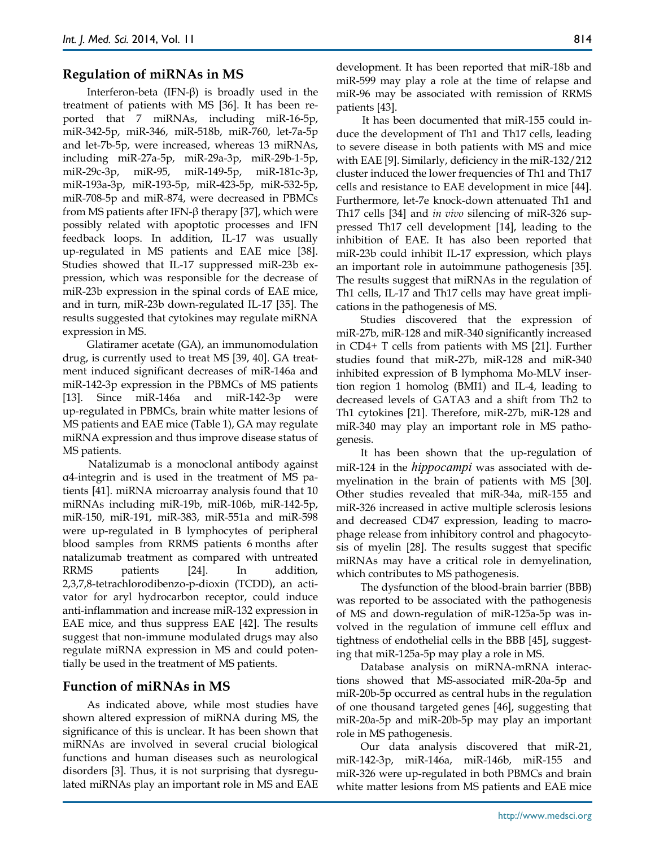## **Regulation of miRNAs in MS**

Interferon-beta (IFN-β) is broadly used in the treatment of patients with MS [36]. It has been reported that 7 miRNAs, including miR-16-5p, miR-342-5p, miR-346, miR-518b, miR-760, let-7a-5p and let-7b-5p, were increased, whereas 13 miRNAs, including miR-27a-5p, miR-29a-3p, miR-29b-1-5p, miR-29c-3p, miR-95, miR-149-5p, miR-181c-3p, miR-193a-3p, miR-193-5p, miR-423-5p, miR-532-5p, miR-708-5p and miR-874, were decreased in PBMCs from MS patients after IFN-β therapy [37], which were possibly related with apoptotic processes and IFN feedback loops. In addition, IL-17 was usually up-regulated in MS patients and EAE mice [38]. Studies showed that IL-17 suppressed miR-23b expression, which was responsible for the decrease of miR-23b expression in the spinal cords of EAE mice, and in turn, miR-23b down-regulated IL-17 [35]. The results suggested that cytokines may regulate miRNA expression in MS.

Glatiramer acetate (GA), an immunomodulation drug, is currently used to treat MS [39, 40]. GA treatment induced significant decreases of miR-146a and miR-142-3p expression in the PBMCs of MS patients [13]. Since miR-146a and miR-142-3p were up-regulated in PBMCs, brain white matter lesions of MS patients and EAE mice (Table 1), GA may regulate miRNA expression and thus improve disease status of MS patients.

Natalizumab is a monoclonal antibody against α4-integrin and is used in the treatment of MS patients [41]. miRNA microarray analysis found that 10 miRNAs including miR-19b, miR-106b, miR-142-5p, miR-150, miR-191, miR-383, miR-551a and miR-598 were up-regulated in B lymphocytes of peripheral blood samples from RRMS patients 6 months after natalizumab treatment as compared with untreated RRMS patients [24]. In addition, 2,3,7,8-tetrachlorodibenzo-p-dioxin (TCDD), an activator for aryl hydrocarbon receptor, could induce anti-inflammation and increase miR-132 expression in EAE mice, and thus suppress EAE [42]. The results suggest that non-immune modulated drugs may also regulate miRNA expression in MS and could potentially be used in the treatment of MS patients.

## **Function of miRNAs in MS**

As indicated above, while most studies have shown altered expression of miRNA during MS, the significance of this is unclear. It has been shown that miRNAs are involved in several crucial biological functions and human diseases such as neurological disorders [3]. Thus, it is not surprising that dysregulated miRNAs play an important role in MS and EAE development. It has been reported that miR-18b and miR-599 may play a role at the time of relapse and miR-96 may be associated with remission of RRMS patients [43].

It has been documented that miR-155 could induce the development of Th1 and Th17 cells, leading to severe disease in both patients with MS and mice with EAE [9]. Similarly, deficiency in the miR-132/212 cluster induced the lower frequencies of Th1 and Th17 cells and resistance to EAE development in mice [44]. Furthermore, let-7e knock-down attenuated Th1 and Th17 cells [34] and *in vivo* silencing of miR-326 suppressed Th17 cell development [14], leading to the inhibition of EAE. It has also been reported that miR-23b could inhibit IL-17 expression, which plays an important role in autoimmune pathogenesis [35]. The results suggest that miRNAs in the regulation of Th1 cells, IL-17 and Th17 cells may have great implications in the pathogenesis of MS.

Studies discovered that the expression of miR-27b, miR-128 and miR-340 significantly increased in CD4+ T cells from patients with MS [21]. Further studies found that miR-27b, miR-128 and miR-340 inhibited expression of B lymphoma Mo-MLV insertion region 1 homolog (BMI1) and IL-4, leading to decreased levels of GATA3 and a shift from Th2 to Th1 cytokines [21]. Therefore, miR-27b, miR-128 and miR-340 may play an important role in MS pathogenesis.

It has been shown that the up-regulation of miR-124 in the *hippocampi* was associated with demyelination in the brain of patients with MS [30]. Other studies revealed that miR-34a, miR-155 and miR-326 increased in active multiple sclerosis lesions and decreased CD47 expression, leading to macrophage release from inhibitory control and phagocytosis of myelin [28]. The results suggest that specific miRNAs may have a critical role in demyelination, which contributes to MS pathogenesis.

The dysfunction of the blood-brain barrier (BBB) was reported to be associated with the pathogenesis of MS and down-regulation of miR-125a-5p was involved in the regulation of immune cell efflux and tightness of endothelial cells in the BBB [45], suggesting that miR-125a-5p may play a role in MS.

Database analysis on miRNA-mRNA interactions showed that MS-associated miR-20a-5p and miR-20b-5p occurred as central hubs in the regulation of one thousand targeted genes [46], suggesting that miR-20a-5p and miR-20b-5p may play an important role in MS pathogenesis.

Our data analysis discovered that miR-21, miR-142-3p, miR-146a, miR-146b, miR-155 and miR-326 were up-regulated in both PBMCs and brain white matter lesions from MS patients and EAE mice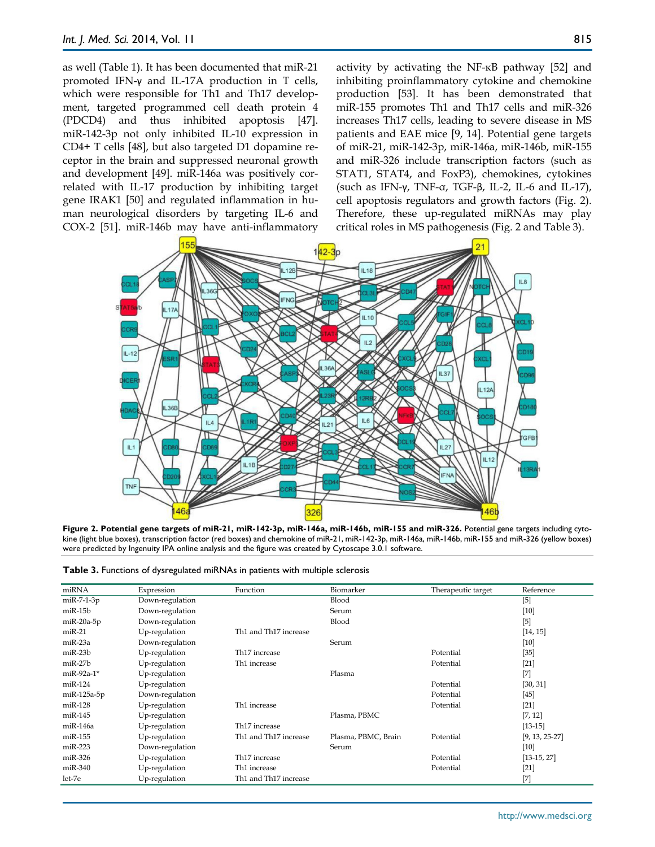as well (Table 1). It has been documented that miR-21 promoted IFN-γ and IL-17A production in T cells, which were responsible for Th1 and Th17 development, targeted programmed cell death protein 4 (PDCD4) and thus inhibited apoptosis [47]. miR-142-3p not only inhibited IL-10 expression in CD4+ T cells [48], but also targeted D1 dopamine receptor in the brain and suppressed neuronal growth and development [49]. miR-146a was positively correlated with IL-17 production by inhibiting target gene IRAK1 [50] and regulated inflammation in human neurological disorders by targeting IL-6 and COX-2 [51]. miR-146b may have anti-inflammatory activity by activating the NF-κB pathway [52] and inhibiting proinflammatory cytokine and chemokine production [53]. It has been demonstrated that miR-155 promotes Th1 and Th17 cells and miR-326 increases Th17 cells, leading to severe disease in MS patients and EAE mice [9, 14]. Potential gene targets of miR-21, miR-142-3p, miR-146a, miR-146b, miR-155 and miR-326 include transcription factors (such as STAT1, STAT4, and FoxP3), chemokines, cytokines (such as IFN-γ, TNF-α, TGF-β, IL-2, IL-6 and IL-17), cell apoptosis regulators and growth factors (Fig. 2). Therefore, these up-regulated miRNAs may play critical roles in MS pathogenesis (Fig. 2 and Table 3).



**Figure 2. Potential gene targets of miR-21, miR-142-3p, miR-146a, miR-146b, miR-155 and miR-326.** Potential gene targets including cytokine (light blue boxes), transcription factor (red boxes) and chemokine of miR-21, miR-142-3p, miR-146a, miR-146b, miR-155 and miR-326 (yellow boxes) were predicted by Ingenuity IPA online analysis and the figure was created by Cytoscape 3.0.1 software.

|  |  |  | Table 3. Functions of dysregulated miRNAs in patients with multiple sclerosis |
|--|--|--|-------------------------------------------------------------------------------|
|--|--|--|-------------------------------------------------------------------------------|

| miRNA        | Expression      | Function                  | Biomarker           | Therapeutic target | Reference        |
|--------------|-----------------|---------------------------|---------------------|--------------------|------------------|
| $miR-7-1-3p$ | Down-regulation |                           | Blood               |                    | $[5]$            |
| miR-15b      | Down-regulation |                           | Serum               |                    | $[10]$           |
| $miR-20a-5p$ | Down-regulation |                           | Blood               |                    | $[5]$            |
| $miR-21$     | Up-regulation   | Th1 and Th17 increase     |                     |                    | [14, 15]         |
| $miR-23a$    | Down-regulation |                           | Serum               |                    | $[10]$           |
| $miR-23b$    | Up-regulation   | Th <sub>17</sub> increase |                     | Potential          | $[35]$           |
| $miR-27b$    | Up-regulation   | Th1 increase              |                     | Potential          | $[21]$           |
| miR-92a-1*   | Up-regulation   |                           | Plasma              |                    | $[7]$            |
| $miR-124$    | Up-regulation   |                           |                     | Potential          | [30, 31]         |
| miR-125a-5p  | Down-regulation |                           |                     | Potential          | $[45]$           |
| $miR-128$    | Up-regulation   | Th1 increase              |                     | Potential          | $[21]$           |
| $miR-145$    | Up-regulation   |                           | Plasma, PBMC        |                    | [7, 12]          |
| $miR-146a$   | Up-regulation   | Th <sub>17</sub> increase |                     |                    | $[13-15]$        |
| miR-155      | Up-regulation   | Th1 and Th17 increase     | Plasma, PBMC, Brain | Potential          | $[9, 13, 25-27]$ |
| $miR-223$    | Down-regulation |                           | Serum               |                    | $[10]$           |
| miR-326      | Up-regulation   | Th17 increase             |                     | Potential          | $[13-15, 27]$    |
| miR-340      | Up-regulation   | Th1 increase              |                     | Potential          | $[21]$           |
| let-7e       | Up-regulation   | Th1 and Th17 increase     |                     |                    | $^{[7]}$         |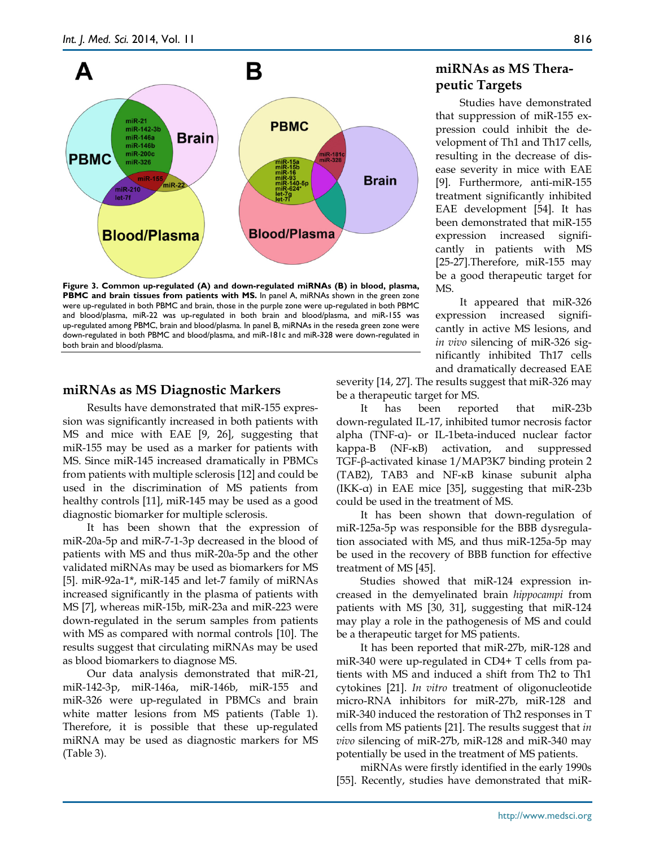

**Figure 3. Common up-regulated (A) and down-regulated miRNAs (B) in blood, plasma, PBMC and brain tissues from patients with MS.** In panel A, miRNAs shown in the green zone were up-regulated in both PBMC and brain, those in the purple zone were up-regulated in both PBMC and blood/plasma, miR-22 was up-regulated in both brain and blood/plasma, and miR-155 was up-regulated among PBMC, brain and blood/plasma. In panel B, miRNAs in the reseda green zone were down-regulated in both PBMC and blood/plasma, and miR-181c and miR-328 were down-regulated in both brain and blood/plasma.

## **miRNAs as MS Diagnostic Markers**

Results have demonstrated that miR-155 expression was significantly increased in both patients with MS and mice with EAE [9, 26], suggesting that miR-155 may be used as a marker for patients with MS. Since miR-145 increased dramatically in PBMCs from patients with multiple sclerosis [12] and could be used in the discrimination of MS patients from healthy controls [11], miR-145 may be used as a good diagnostic biomarker for multiple sclerosis.

It has been shown that the expression of miR-20a-5p and miR-7-1-3p decreased in the blood of patients with MS and thus miR-20a-5p and the other validated miRNAs may be used as biomarkers for MS [5]. miR-92a-1\*, miR-145 and let-7 family of miRNAs increased significantly in the plasma of patients with MS [7], whereas miR-15b, miR-23a and miR-223 were down-regulated in the serum samples from patients with MS as compared with normal controls [10]. The results suggest that circulating miRNAs may be used as blood biomarkers to diagnose MS.

Our data analysis demonstrated that miR-21, miR-142-3p, miR-146a, miR-146b, miR-155 and miR-326 were up-regulated in PBMCs and brain white matter lesions from MS patients (Table 1). Therefore, it is possible that these up-regulated miRNA may be used as diagnostic markers for MS (Table 3).

# **miRNAs as MS Therapeutic Targets**

Studies have demonstrated that suppression of miR-155 expression could inhibit the development of Th1 and Th17 cells, resulting in the decrease of disease severity in mice with EAE [9]. Furthermore, anti-miR-155 treatment significantly inhibited EAE development [54]. It has been demonstrated that miR-155 expression increased significantly in patients with MS [25-27].Therefore, miR-155 may be a good therapeutic target for MS.

It appeared that miR-326 expression increased significantly in active MS lesions, and *in vivo* silencing of miR-326 significantly inhibited Th17 cells and dramatically decreased EAE

severity [14, 27]. The results suggest that miR-326 may be a therapeutic target for MS.

It has been reported that miR-23b down-regulated IL-17, inhibited tumor necrosis factor alpha (TNF-α)- or IL-1beta-induced nuclear factor kappa-B (NF-κB) activation, and suppressed TGF-β-activated kinase 1/MAP3K7 binding protein 2 (TAB2), TAB3 and NF-κB kinase subunit alpha (IKK-α) in EAE mice [35], suggesting that miR-23b could be used in the treatment of MS.

It has been shown that down-regulation of miR-125a-5p was responsible for the BBB dysregulation associated with MS, and thus miR-125a-5p may be used in the recovery of BBB function for effective treatment of MS [45].

Studies showed that miR-124 expression increased in the demyelinated brain *hippocampi* from patients with MS [30, 31], suggesting that miR-124 may play a role in the pathogenesis of MS and could be a therapeutic target for MS patients.

It has been reported that miR-27b, miR-128 and miR-340 were up-regulated in CD4+ T cells from patients with MS and induced a shift from Th2 to Th1 cytokines [21]. *In vitro* treatment of oligonucleotide micro-RNA inhibitors for miR-27b, miR-128 and miR-340 induced the restoration of Th2 responses in T cells from MS patients [21]. The results suggest that *in vivo* silencing of miR-27b, miR-128 and miR-340 may potentially be used in the treatment of MS patients.

miRNAs were firstly identified in the early 1990s [55]. Recently, studies have demonstrated that miR-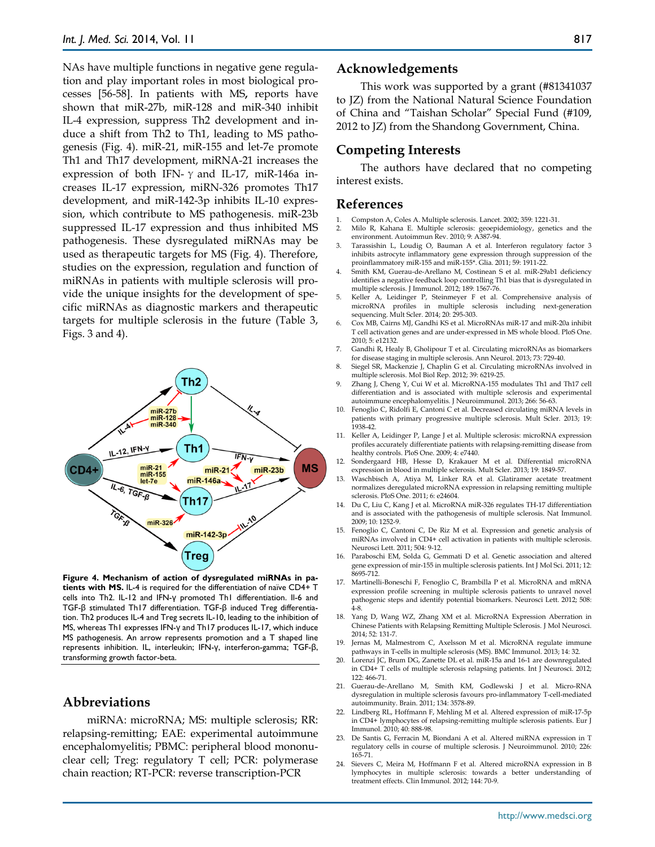NAs have multiple functions in negative gene regulation and play important roles in most biological processes [56-58]. In patients with MS**,** reports have shown that miR-27b, miR-128 and miR-340 inhibit IL-4 expression, suppress Th2 development and induce a shift from Th2 to Th1, leading to MS pathogenesis (Fig. 4). miR-21, miR-155 and let-7e promote Th1 and Th17 development, miRNA-21 increases the expression of both IFN-  $\gamma$  and IL-17, miR-146a increases IL-17 expression, miRN-326 promotes Th17 development, and miR-142-3p inhibits IL-10 expression, which contribute to MS pathogenesis. miR-23b suppressed IL-17 expression and thus inhibited MS pathogenesis. These dysregulated miRNAs may be used as therapeutic targets for MS (Fig. 4). Therefore, studies on the expression, regulation and function of miRNAs in patients with multiple sclerosis will provide the unique insights for the development of specific miRNAs as diagnostic markers and therapeutic targets for multiple sclerosis in the future (Table 3, Figs. 3 and 4).



**Figure 4. Mechanism of action of dysregulated miRNAs in patients with MS.** IL-4 is required for the differentiation of naïve CD4+ T cells into Th2. IL-12 and IFN-γ promoted Th1 differentiation. Il-6 and TGF-β stimulated Th17 differentiation. TGF-β induced Treg differentiation. Th2 produces IL-4 and Treg secrets IL-10, leading to the inhibition of MS, whereas Th1 expresses IFN-γ and Th17 produces IL-17, which induce MS pathogenesis. An arrow represents promotion and a T shaped line represents inhibition. IL, interleukin; IFN-γ, interferon-gamma; TGF-β, transforming growth factor-beta.

#### **Abbreviations**

miRNA: microRNA; MS: multiple sclerosis; RR: relapsing-remitting; EAE: experimental autoimmune encephalomyelitis; PBMC: peripheral blood mononuclear cell; Treg: regulatory T cell; PCR: polymerase chain reaction; RT-PCR: reverse transcription-PCR

#### **Acknowledgements**

This work was supported by a grant (#81341037 to JZ) from the National Natural Science Foundation of China and "Taishan Scholar" Special Fund (#109, 2012 to JZ) from the Shandong Government, China.

#### **Competing Interests**

The authors have declared that no competing interest exists.

#### **References**

- 1. Compston A, Coles A. Multiple sclerosis. Lancet. 2002; 359: 1221-31.
- 2. Milo R, Kahana E. Multiple sclerosis: geoepidemiology, genetics and the environment. Autoimmun Rev. 2010; 9: A387-94.
- 3. Tarassishin L, Loudig O, Bauman A et al. Interferon regulatory factor 3 inhibits astrocyte inflammatory gene expression through suppression of the proinflammatory miR-155 and miR-155\*. Glia. 2011; 59: 1911-22.
- 4. Smith KM, Guerau-de-Arellano M, Costinean S et al. miR-29ab1 deficiency identifies a negative feedback loop controlling Th1 bias that is dysregulated in multiple sclerosis. J Immunol. 2012; 189: 1567-76.
- 5. Keller A, Leidinger P, Steinmeyer F et al. Comprehensive analysis of microRNA profiles in multiple sclerosis including next-generation sequencing. Mult Scler. 2014; 20: 295-303.
- 6. Cox MB, Cairns MJ, Gandhi KS et al. MicroRNAs miR-17 and miR-20a inhibit T cell activation genes and are under-expressed in MS whole blood. PloS One. 2010; 5: e12132.
- 7. Gandhi R, Healy B, Gholipour T et al. Circulating microRNAs as biomarkers for disease staging in multiple sclerosis. Ann Neurol. 2013; 73: 729-40.
- 8. Siegel SR, Mackenzie J, Chaplin G et al. Circulating microRNAs involved in multiple sclerosis. Mol Biol Rep. 2012; 39: 6219-25.
- 9. Zhang J, Cheng Y, Cui W et al. MicroRNA-155 modulates Th1 and Th17 cell differentiation and is associated with multiple sclerosis and experimental autoimmune encephalomyelitis. J Neuroimmunol. 2013; 266: 56-63.
- 10. Fenoglio C, Ridolfi E, Cantoni C et al. Decreased circulating miRNA levels in patients with primary progressive multiple sclerosis. Mult Scler. 2013; 19: 1938-42.
- 11. Keller A, Leidinger P, Lange J et al. Multiple sclerosis: microRNA expression profiles accurately differentiate patients with relapsing-remitting disease from healthy controls. PloS One. 2009; 4: e7440.
- 12. Sondergaard HB, Hesse D, Krakauer M et al. Differential microRNA expression in blood in multiple sclerosis. Mult Scler. 2013; 19: 1849-57.
- 13. Waschbisch A, Atiya M, Linker RA et al. Glatiramer acetate treatment normalizes deregulated microRNA expression in relapsing remitting multiple sclerosis. PloS One. 2011; 6: e24604.
- 14. Du C, Liu C, Kang J et al. MicroRNA miR-326 regulates TH-17 differentiation and is associated with the pathogenesis of multiple sclerosis. Nat Immunol. 2009; 10: 1252-9.
- 15. Fenoglio C, Cantoni C, De Riz M et al. Expression and genetic analysis of miRNAs involved in CD4+ cell activation in patients with multiple sclerosis. Neurosci Lett. 2011; 504: 9-12.
- 16. Paraboschi EM, Solda G, Gemmati D et al. Genetic association and altered gene expression of mir-155 in multiple sclerosis patients. Int J Mol Sci. 2011; 12: 8695-712.
- 17. Martinelli-Boneschi F, Fenoglio C, Brambilla P et al. MicroRNA and mRNA expression profile screening in multiple sclerosis patients to unravel novel pathogenic steps and identify potential biomarkers. Neurosci Lett. 2012; 508: 4-8.
- 18. Yang D, Wang WZ, Zhang XM et al. MicroRNA Expression Aberration in Chinese Patients with Relapsing Remitting Multiple Sclerosis. J Mol Neurosci. 2014; 52: 131-7.
- 19. Jernas M, Malmestrom C, Axelsson M et al. MicroRNA regulate immune pathways in T-cells in multiple sclerosis (MS). BMC Immunol. 2013; 14: 32.
- Lorenzi IC, Brum DG, Zanette DL et al. miR-15a and 16-1 are downregulated in CD4+ T cells of multiple sclerosis relapsing patients. Int J Neurosci. 2012; 122: 466-71.
- 21. Guerau-de-Arellano M, Smith KM, Godlewski J et al. Micro-RNA dysregulation in multiple sclerosis favours pro-inflammatory T-cell-mediated autoimmunity. Brain. 2011; 134: 3578-89.
- 22. Lindberg RL, Hoffmann F, Mehling M et al. Altered expression of miR-17-5p in CD4+ lymphocytes of relapsing-remitting multiple sclerosis patients. Eur J Immunol. 2010; 40: 888-98.
- 23. De Santis G, Ferracin M, Biondani A et al. Altered miRNA expression in T regulatory cells in course of multiple sclerosis. J Neuroimmunol. 2010; 226: 165-71.
- 24. Sievers C, Meira M, Hoffmann F et al. Altered microRNA expression in B lymphocytes in multiple sclerosis: towards a better understanding of treatment effects. Clin Immunol. 2012; 144: 70-9.